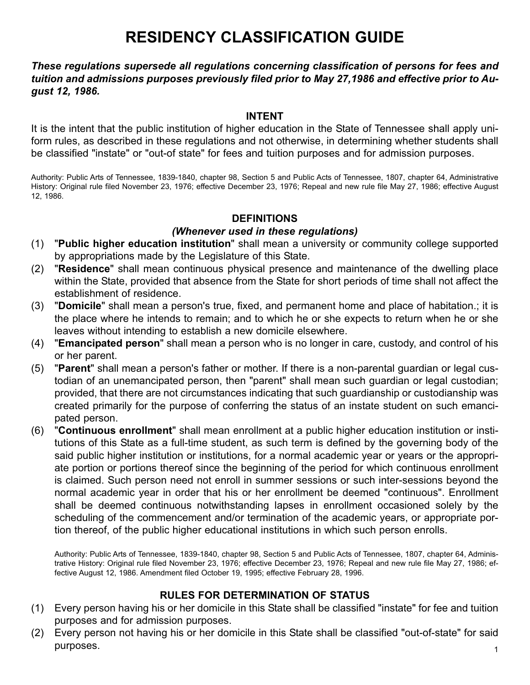# **RESIDENCY CLASSIFICATION GUIDE**

*These regulations supersede all regulations concerning classification of persons for fees and tuition and admissions purposes previously filed prior to May 27,1986 and effective prior to August 12, 1986.*

### **INTENT**

It is the intent that the public institution of higher education in the State of Tennessee shall apply uniform rules, as described in these regulations and not otherwise, in determining whether students shall be classified "instate" or "out-of state" for fees and tuition purposes and for admission purposes.

Authority: Public Arts of Tennessee, 1839-1840, chapter 98, Section 5 and Public Acts of Tennessee, 1807, chapter 64, Administrative History: Original rule filed November 23, 1976; effective December 23, 1976; Repeal and new rule file May 27, 1986; effective August 12, 1986.

## **DEFINITIONS**

## *(Whenever used in these regulations)*

- (1) "**Public higher education institution**" shall mean a university or community college supported by appropriations made by the Legislature of this State.
- (2) "**Residence**" shall mean continuous physical presence and maintenance of the dwelling place within the State, provided that absence from the State for short periods of time shall not affect the establishment of residence.
- (3) "**Domicile**" shall mean a person's true, fixed, and permanent home and place of habitation.; it is the place where he intends to remain; and to which he or she expects to return when he or she leaves without intending to establish a new domicile elsewhere.
- (4) "**Emancipated person**" shall mean a person who is no longer in care, custody, and control of his or her parent.
- (5) "**Parent**" shall mean a person's father or mother. If there is a non-parental guardian or legal custodian of an unemancipated person, then "parent" shall mean such guardian or legal custodian; provided, that there are not circumstances indicating that such guardianship or custodianship was created primarily for the purpose of conferring the status of an instate student on such emancipated person.
- (6) "**Continuous enrollment**" shall mean enrollment at a public higher education institution or institutions of this State as a full-time student, as such term is defined by the governing body of the said public higher institution or institutions, for a normal academic year or years or the appropriate portion or portions thereof since the beginning of the period for which continuous enrollment is claimed. Such person need not enroll in summer sessions or such inter-sessions beyond the normal academic year in order that his or her enrollment be deemed "continuous". Enrollment shall be deemed continuous notwithstanding lapses in enrollment occasioned solely by the scheduling of the commencement and/or termination of the academic years, or appropriate portion thereof, of the public higher educational institutions in which such person enrolls.

Authority: Public Arts of Tennessee, 1839-1840, chapter 98, Section 5 and Public Acts of Tennessee, 1807, chapter 64, Administrative History: Original rule filed November 23, 1976; effective December 23, 1976; Repeal and new rule file May 27, 1986; effective August 12, 1986. Amendment filed October 19, 1995; effective February 28, 1996.

## **RULES FOR DETERMINATION OF STATUS**

- (1) Every person having his or her domicile in this State shall be classified "instate" for fee and tuition purposes and for admission purposes.
- (2) Every person not having his or her domicile in this State shall be classified "out-of-state" for said purposes. The contract of the contract of the contract of the contract of the contract of the contract of the contract of the contract of the contract of the contract of the contract of the contract of the contract of the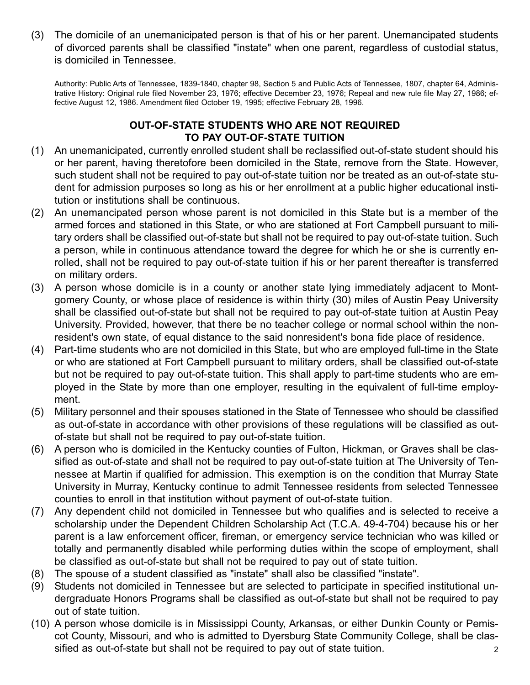(3) The domicile of an unemanicipated person is that of his or her parent. Unemancipated students of divorced parents shall be classified "instate" when one parent, regardless of custodial status, is domiciled in Tennessee.

Authority: Public Arts of Tennessee, 1839-1840, chapter 98, Section 5 and Public Acts of Tennessee, 1807, chapter 64, Administrative History: Original rule filed November 23, 1976; effective December 23, 1976; Repeal and new rule file May 27, 1986; effective August 12, 1986. Amendment filed October 19, 1995; effective February 28, 1996.

## **OUT-OF-STATE STUDENTS WHO ARE NOT REQUIRED TO PAY OUT-OF-STATE TUITION**

- (1) An unemanicipated, currently enrolled student shall be reclassified out-of-state student should his or her parent, having theretofore been domiciled in the State, remove from the State. However, such student shall not be required to pay out-of-state tuition nor be treated as an out-of-state student for admission purposes so long as his or her enrollment at a public higher educational institution or institutions shall be continuous.
- (2) An unemancipated person whose parent is not domiciled in this State but is a member of the armed forces and stationed in this State, or who are stationed at Fort Campbell pursuant to military orders shall be classified out-of-state but shall not be required to pay out-of-state tuition. Such a person, while in continuous attendance toward the degree for which he or she is currently enrolled, shall not be required to pay out-of-state tuition if his or her parent thereafter is transferred on military orders.
- (3) A person whose domicile is in a county or another state lying immediately adjacent to Montgomery County, or whose place of residence is within thirty (30) miles of Austin Peay University shall be classified out-of-state but shall not be required to pay out-of-state tuition at Austin Peay University. Provided, however, that there be no teacher college or normal school within the nonresident's own state, of equal distance to the said nonresident's bona fide place of residence.
- (4) Part-time students who are not domiciled in this State, but who are employed full-time in the State or who are stationed at Fort Campbell pursuant to military orders, shall be classified out-of-state but not be required to pay out-of-state tuition. This shall apply to part-time students who are employed in the State by more than one employer, resulting in the equivalent of full-time employment.
- (5) Military personnel and their spouses stationed in the State of Tennessee who should be classified as out-of-state in accordance with other provisions of these regulations will be classified as outof-state but shall not be required to pay out-of-state tuition.
- (6) A person who is domiciled in the Kentucky counties of Fulton, Hickman, or Graves shall be classified as out-of-state and shall not be required to pay out-of-state tuition at The University of Tennessee at Martin if qualified for admission. This exemption is on the condition that Murray State University in Murray, Kentucky continue to admit Tennessee residents from selected Tennessee counties to enroll in that institution without payment of out-of-state tuition.
- (7) Any dependent child not domiciled in Tennessee but who qualifies and is selected to receive a scholarship under the Dependent Children Scholarship Act (T.C.A. 49-4-704) because his or her parent is a law enforcement officer, fireman, or emergency service technician who was killed or totally and permanently disabled while performing duties within the scope of employment, shall be classified as out-of-state but shall not be required to pay out of state tuition.
- (8) The spouse of a student classified as "instate" shall also be classified "instate".
- (9) Students not domiciled in Tennessee but are selected to participate in specified institutional undergraduate Honors Programs shall be classified as out-of-state but shall not be required to pay out of state tuition.
- (10) A person whose domicile is in Mississippi County, Arkansas, or either Dunkin County or Pemiscot County, Missouri, and who is admitted to Dyersburg State Community College, shall be classified as out-of-state but shall not be required to pay out of state tuition.